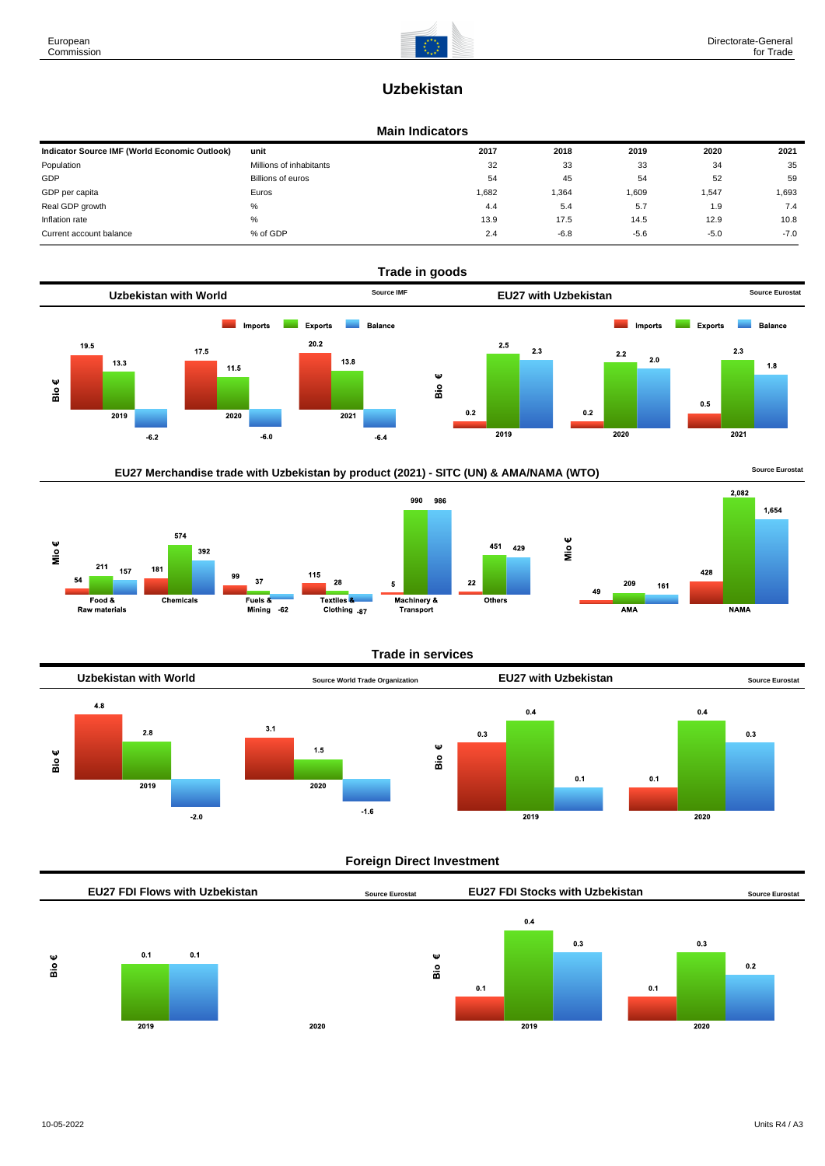# **Uzbekistan**

#### **Main Indicators**

| Indicator Source IMF (World Economic Outlook) | unit                    | 2017  | 2018   | 2019   | 2020   | 2021   |
|-----------------------------------------------|-------------------------|-------|--------|--------|--------|--------|
| Population                                    | Millions of inhabitants | 32    | 33     | 33     | 34     | 35     |
| GDP                                           | Billions of euros       | 54    | 45     | 54     | 52     | 59     |
| GDP per capita                                | Euros                   | 1,682 | 1,364  | 1,609  | 1,547  | 1,693  |
| Real GDP growth                               | %                       | 4.4   | 5.4    | 5.7    | 1.9    | 7.4    |
| Inflation rate                                | %                       | 13.9  | 17.5   | 14.5   | 12.9   | 10.8   |
| Current account balance                       | % of GDP                | 2.4   | $-6.8$ | $-5.6$ | $-5.0$ | $-7.0$ |









### **Trade in services**

451 429



### **Foreign Direct Investment**